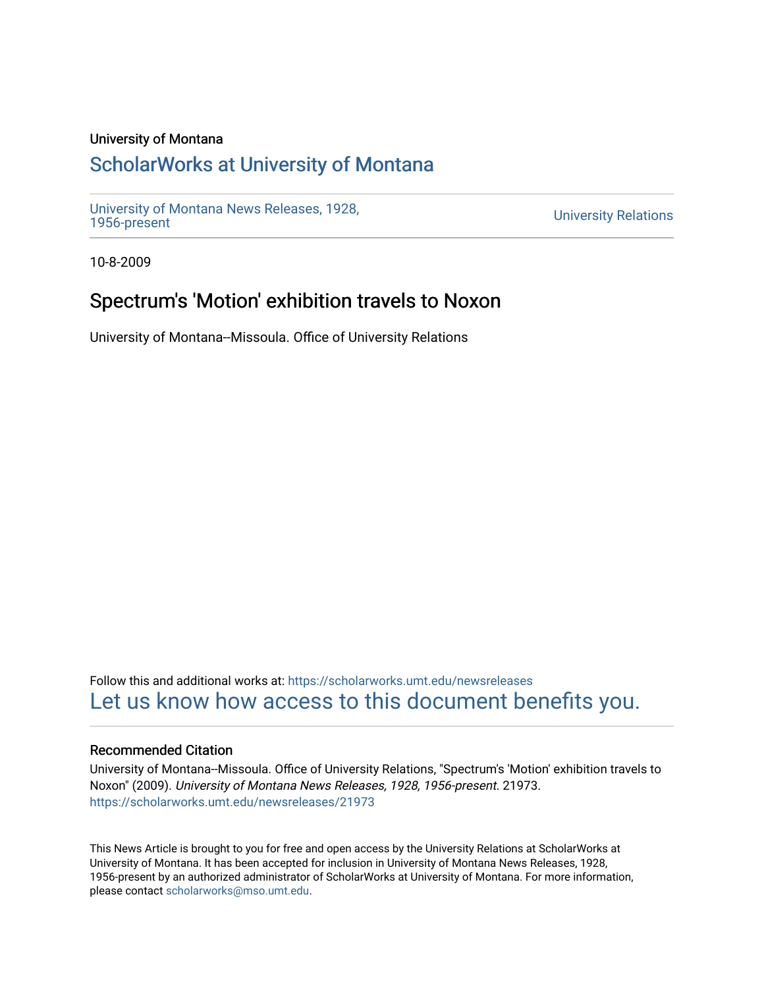### University of Montana

# [ScholarWorks at University of Montana](https://scholarworks.umt.edu/)

[University of Montana News Releases, 1928,](https://scholarworks.umt.edu/newsreleases) 

**University Relations** 

10-8-2009

# Spectrum's 'Motion' exhibition travels to Noxon

University of Montana--Missoula. Office of University Relations

Follow this and additional works at: [https://scholarworks.umt.edu/newsreleases](https://scholarworks.umt.edu/newsreleases?utm_source=scholarworks.umt.edu%2Fnewsreleases%2F21973&utm_medium=PDF&utm_campaign=PDFCoverPages) [Let us know how access to this document benefits you.](https://goo.gl/forms/s2rGfXOLzz71qgsB2) 

### Recommended Citation

University of Montana--Missoula. Office of University Relations, "Spectrum's 'Motion' exhibition travels to Noxon" (2009). University of Montana News Releases, 1928, 1956-present. 21973. [https://scholarworks.umt.edu/newsreleases/21973](https://scholarworks.umt.edu/newsreleases/21973?utm_source=scholarworks.umt.edu%2Fnewsreleases%2F21973&utm_medium=PDF&utm_campaign=PDFCoverPages) 

This News Article is brought to you for free and open access by the University Relations at ScholarWorks at University of Montana. It has been accepted for inclusion in University of Montana News Releases, 1928, 1956-present by an authorized administrator of ScholarWorks at University of Montana. For more information, please contact [scholarworks@mso.umt.edu.](mailto:scholarworks@mso.umt.edu)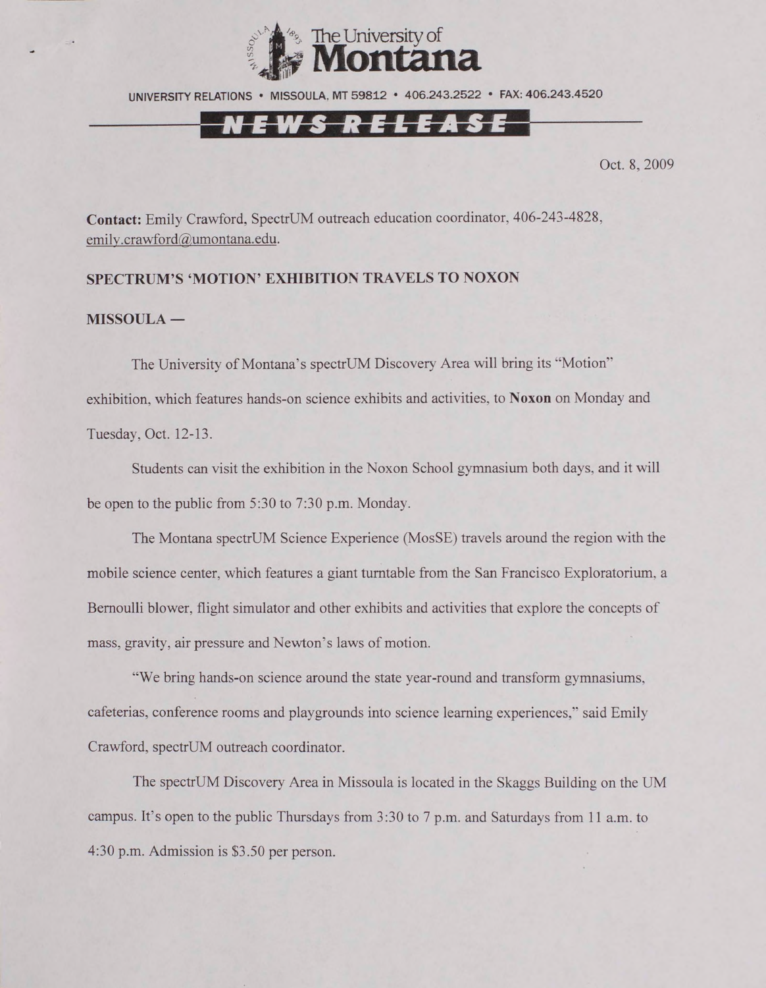

UNIVERSITY RELATIONS • MISSOULA. MT 59812 • 406.243.2522 • FAX: 406.243.4520

## NEWS RELEASE

Oct. 8, 2009

**Contact:** Emily Crawford, SpectrUM outreach education coordinator, 406-243-4828. emily.crawford@umontana.edu.

#### **SPECTRUM'S 'MOTION' EXHIBITION TRAVELS TO NOXON**

#### **MISSOULA —**

The University of Montana's spectrUM Discovery Area will bring its "Motion" exhibition, which features hands-on science exhibits and activities, to **Noxon** on Monday and Tuesday, Oct. 12-13.

Students can visit the exhibition in the Noxon School gymnasium both days, and it will be open to the public from 5:30 to 7:30 p.m. Monday.

The Montana spectrUM Science Experience (MosSE) travels around the region with the mobile science center, which features a giant turntable from the San Francisco Exploratorium. a Bernoulli blower, flight simulator and other exhibits and activities that explore the concepts of mass, gravity, air pressure and Newton's laws of motion.

"We bring hands-on science around the state year-round and transform gymnasiums, cafeterias, conference rooms and playgrounds into science learning experiences," said Emily Crawford, spectrUM outreach coordinator.

The spectrUM Discovery Area in Missoula is located in the Skaggs Building on the UM campus. It's open to the public Thursdays from 3:30 to 7 p.m. and Saturdays from 11 a.m. to 4:30 p.m. Admission is \$3.50 per person.